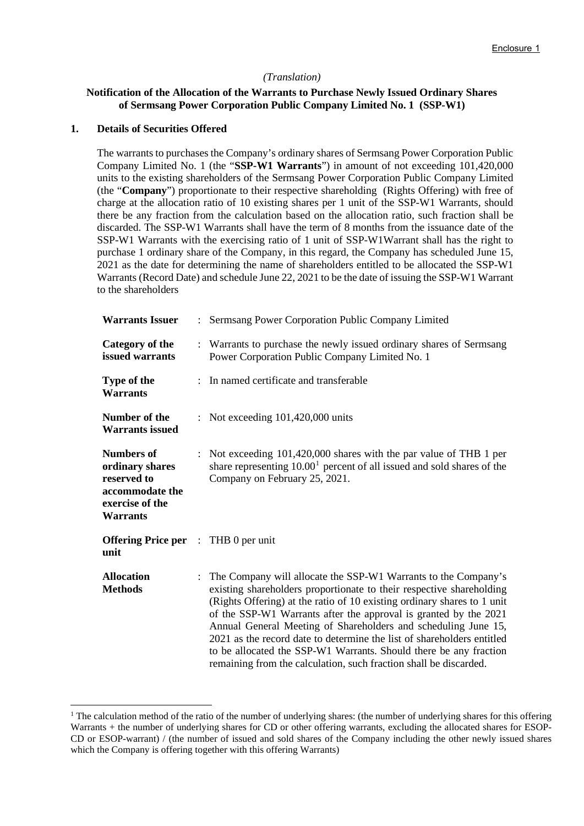#### *(Translation)*

# **Notification of the Allocation of the Warrants to Purchase Newly Issued Ordinary Shares of Sermsang Power Corporation Public Company Limited No. 1 (SSP-W1)**

#### **1. Details of Securities Offered**

The warrants to purchases the Company's ordinary shares of Sermsang Power Corporation Public Company Limited No. 1 (the "**SSP-W1 Warrants**") in amount of not exceeding 101,420,000 units to the existing shareholders of the Sermsang Power Corporation Public Company Limited (the "**Company**") proportionate to their respective shareholding (Rights Offering) with free of charge at the allocation ratio of 10 existing shares per 1 unit of the SSP-W1 Warrants, should there be any fraction from the calculation based on the allocation ratio, such fraction shall be discarded. The SSP-W1 Warrants shall have the term of 8 months from the issuance date of the SSP-W1 Warrants with the exercising ratio of 1 unit of SSP-W1Warrant shall has the right to purchase 1 ordinary share of the Company, in this regard, the Company has scheduled June 15, 2021 as the date for determining the name of shareholders entitled to be allocated the SSP-W1 Warrants (Record Date) and schedule June 22, 2021 to be the date of issuing the SSP-W1 Warrant to the shareholders

| <b>Warrants Issuer</b>                                                                                       | $\mathbf{L}$ | Sermsang Power Corporation Public Company Limited                                                                                                                                                                                                                                                                                                                                                                                                                                                                                                                             |
|--------------------------------------------------------------------------------------------------------------|--------------|-------------------------------------------------------------------------------------------------------------------------------------------------------------------------------------------------------------------------------------------------------------------------------------------------------------------------------------------------------------------------------------------------------------------------------------------------------------------------------------------------------------------------------------------------------------------------------|
| <b>Category of the</b><br>issued warrants                                                                    |              | : Warrants to purchase the newly issued ordinary shares of Sermsang<br>Power Corporation Public Company Limited No. 1                                                                                                                                                                                                                                                                                                                                                                                                                                                         |
| Type of the<br><b>Warrants</b>                                                                               |              | : In named certificate and transferable                                                                                                                                                                                                                                                                                                                                                                                                                                                                                                                                       |
| Number of the<br><b>Warrants issued</b>                                                                      |              | : Not exceeding $101,420,000$ units                                                                                                                                                                                                                                                                                                                                                                                                                                                                                                                                           |
| <b>Numbers of</b><br>ordinary shares<br>reserved to<br>accommodate the<br>exercise of the<br><b>Warrants</b> |              | : Not exceeding 101,420,000 shares with the par value of THB 1 per<br>share representing $10.001$ percent of all issued and sold shares of the<br>Company on February 25, 2021.                                                                                                                                                                                                                                                                                                                                                                                               |
| <b>Offering Price per</b> : THB 0 per unit<br>unit                                                           |              |                                                                                                                                                                                                                                                                                                                                                                                                                                                                                                                                                                               |
| <b>Allocation</b><br><b>Methods</b>                                                                          |              | : The Company will allocate the SSP-W1 Warrants to the Company's<br>existing shareholders proportionate to their respective shareholding<br>(Rights Offering) at the ratio of 10 existing ordinary shares to 1 unit<br>of the SSP-W1 Warrants after the approval is granted by the 2021<br>Annual General Meeting of Shareholders and scheduling June 15,<br>2021 as the record date to determine the list of shareholders entitled<br>to be allocated the SSP-W1 Warrants. Should there be any fraction<br>remaining from the calculation, such fraction shall be discarded. |

<span id="page-0-0"></span><sup>&</sup>lt;sup>1</sup> The calculation method of the ratio of the number of underlying shares: (the number of underlying shares for this offering Warrants + the number of underlying shares for CD or other offering warrants, excluding the allocated shares for ESOP-CD or ESOP-warrant) / (the number of issued and sold shares of the Company including the other newly issued shares which the Company is offering together with this offering Warrants)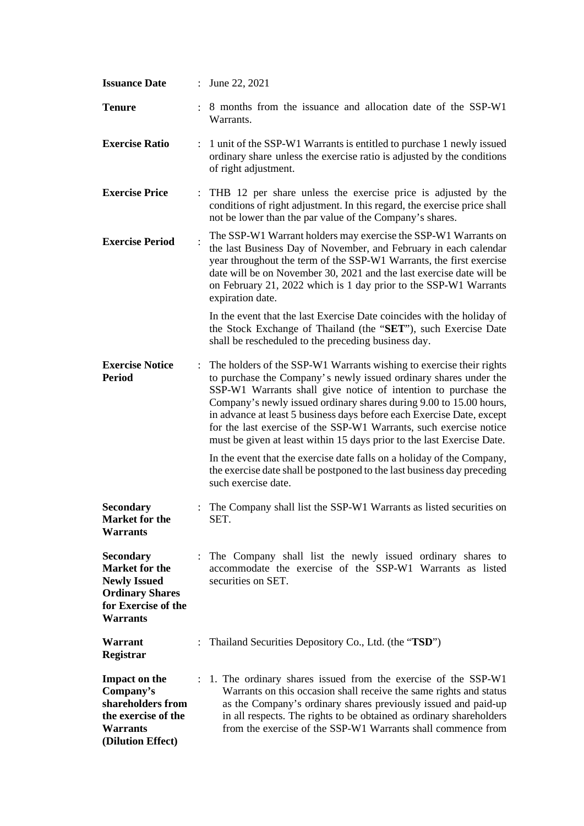| <b>Issuance Date</b>                                                                                                                 |                | June 22, 2021                                                                                                                                                                                                                                                                                                                                                                                                                                                                                            |
|--------------------------------------------------------------------------------------------------------------------------------------|----------------|----------------------------------------------------------------------------------------------------------------------------------------------------------------------------------------------------------------------------------------------------------------------------------------------------------------------------------------------------------------------------------------------------------------------------------------------------------------------------------------------------------|
| <b>Tenure</b>                                                                                                                        |                | 8 months from the issuance and allocation date of the SSP-W1<br>Warrants.                                                                                                                                                                                                                                                                                                                                                                                                                                |
| <b>Exercise Ratio</b>                                                                                                                | $\ddot{\cdot}$ | 1 unit of the SSP-W1 Warrants is entitled to purchase 1 newly issued<br>ordinary share unless the exercise ratio is adjusted by the conditions<br>of right adjustment.                                                                                                                                                                                                                                                                                                                                   |
| <b>Exercise Price</b>                                                                                                                |                | THB 12 per share unless the exercise price is adjusted by the<br>conditions of right adjustment. In this regard, the exercise price shall<br>not be lower than the par value of the Company's shares.                                                                                                                                                                                                                                                                                                    |
| <b>Exercise Period</b>                                                                                                               |                | The SSP-W1 Warrant holders may exercise the SSP-W1 Warrants on<br>the last Business Day of November, and February in each calendar<br>year throughout the term of the SSP-W1 Warrants, the first exercise<br>date will be on November 30, 2021 and the last exercise date will be<br>on February 21, 2022 which is 1 day prior to the SSP-W1 Warrants<br>expiration date.                                                                                                                                |
|                                                                                                                                      |                | In the event that the last Exercise Date coincides with the holiday of<br>the Stock Exchange of Thailand (the "SET"), such Exercise Date<br>shall be rescheduled to the preceding business day.                                                                                                                                                                                                                                                                                                          |
| <b>Exercise Notice</b><br><b>Period</b>                                                                                              |                | The holders of the SSP-W1 Warrants wishing to exercise their rights<br>to purchase the Company's newly issued ordinary shares under the<br>SSP-W1 Warrants shall give notice of intention to purchase the<br>Company's newly issued ordinary shares during 9.00 to 15.00 hours,<br>in advance at least 5 business days before each Exercise Date, except<br>for the last exercise of the SSP-W1 Warrants, such exercise notice<br>must be given at least within 15 days prior to the last Exercise Date. |
|                                                                                                                                      |                | In the event that the exercise date falls on a holiday of the Company,<br>the exercise date shall be postponed to the last business day preceding<br>such exercise date.                                                                                                                                                                                                                                                                                                                                 |
| <b>Secondary</b><br><b>Market for the</b><br><b>Warrants</b>                                                                         |                | The Company shall list the SSP-W1 Warrants as listed securities on<br>SET.                                                                                                                                                                                                                                                                                                                                                                                                                               |
| <b>Secondary</b><br><b>Market for the</b><br><b>Newly Issued</b><br><b>Ordinary Shares</b><br>for Exercise of the<br><b>Warrants</b> |                | The Company shall list the newly issued ordinary shares to<br>accommodate the exercise of the SSP-W1 Warrants as listed<br>securities on SET.                                                                                                                                                                                                                                                                                                                                                            |
| Warrant<br>Registrar                                                                                                                 |                | Thailand Securities Depository Co., Ltd. (the "TSD")                                                                                                                                                                                                                                                                                                                                                                                                                                                     |
| <b>Impact on the</b><br>Company's<br>shareholders from<br>the exercise of the<br><b>Warrants</b><br>(Dilution Effect)                |                | : 1. The ordinary shares issued from the exercise of the SSP-W1<br>Warrants on this occasion shall receive the same rights and status<br>as the Company's ordinary shares previously issued and paid-up<br>in all respects. The rights to be obtained as ordinary shareholders<br>from the exercise of the SSP-W1 Warrants shall commence from                                                                                                                                                           |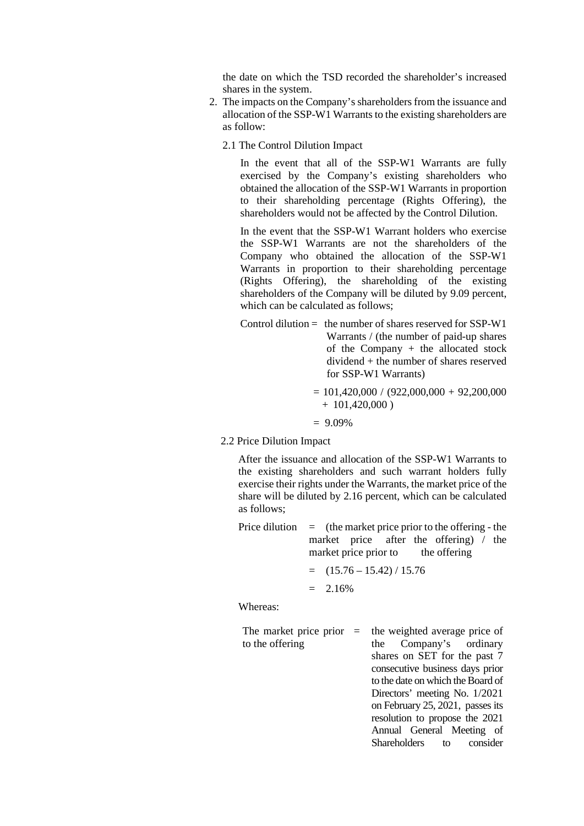the date on which the TSD recorded the shareholder's increased shares in the system.

- 2. The impacts on the Company's shareholders from the issuance and allocation of the SSP-W1 Warrants to the existing shareholders are as follow:
	- 2.1 The Control Dilution Impact

In the event that all of the SSP-W1 Warrants are fully exercised by the Company's existing shareholders who obtained the allocation of the SSP-W1 Warrants in proportion to their shareholding percentage (Rights Offering), the shareholders would not be affected by the Control Dilution.

In the event that the SSP-W1 Warrant holders who exercise the SSP-W1 Warrants are not the shareholders of the Company who obtained the allocation of the SSP-W1 Warrants in proportion to their shareholding percentage (Rights Offering), the shareholding of the existing shareholders of the Company will be diluted by 9.09 percent, which can be calculated as follows;

- Control dilution  $=$  the number of shares reserved for SSP-W1 Warrants / (the number of paid-up shares of the Company + the allocated stock dividend + the number of shares reserved for SSP-W1 Warrants)
	- $= 101,420,000 / (922,000,000 + 92,200,000$  $+ 101,420,000$ )
	- $= 9.09\%$
- 2.2 Price Dilution Impact

After the issuance and allocation of the SSP-W1 Warrants to the existing shareholders and such warrant holders fully exercise their rights under the Warrants, the market price of the share will be diluted by 2.16 percent, which can be calculated as follows;

Price dilution  $=$  (the market price prior to the offering - the market price after the offering) / the market price prior to the offering

$$
= (15.76 - 15.42) / 15.76
$$

 $= 2.16\%$ 

Whereas:

The market price prior  $=$ to the offering the weighted average price of the Company's ordinary shares on SET for the past 7 consecutive business days prior to the date on which the Board of Directors' meeting No. 1/2021 on February 25, 2021, passes its resolution to propose the 2021 Annual General Meeting of Shareholders to consider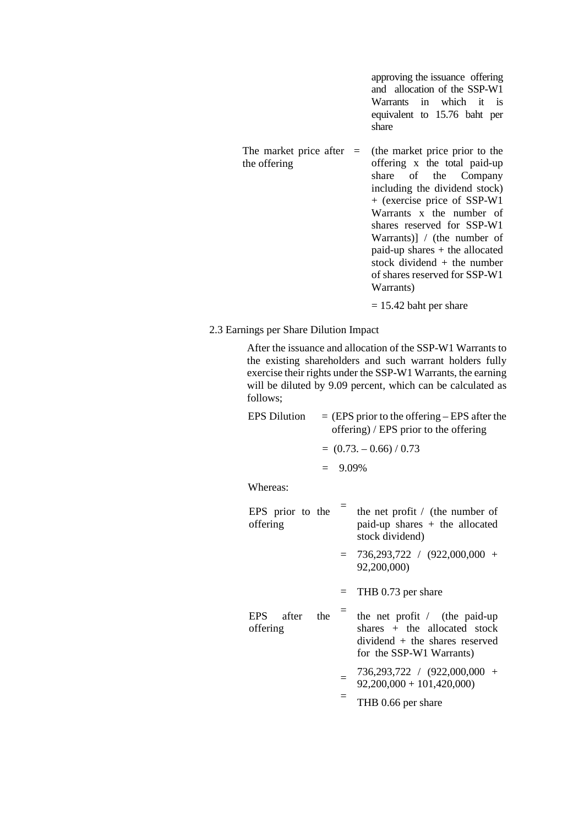approving the issuance offering and allocation of the SSP-W1 Warrants in which it is equivalent to 15.76 baht per share

- The market price after  $=$ the offering (the market price prior to the offering x the total paid-up share of the Company including the dividend stock) + (exercise price of SSP-W1 Warrants x the number of shares reserved for SSP-W1 Warrants)] / (the number of paid-up shares + the allocated stock dividend + the number of shares reserved for SSP-W1 Warrants)  $= 15.42$  baht per share
- 2.3 Earnings per Share Dilution Impact

After the issuance and allocation of the SSP-W1 Warrants to the existing shareholders and such warrant holders fully exercise their rights under the SSP-W1 Warrants, the earning will be diluted by 9.09 percent, which can be calculated as follows;

| ronows,                      |                                                                                         |            |                                                                                                                                   |  |  |  |
|------------------------------|-----------------------------------------------------------------------------------------|------------|-----------------------------------------------------------------------------------------------------------------------------------|--|--|--|
| <b>EPS Dilution</b>          | $=$ (EPS prior to the offering – EPS after the<br>offering) / EPS prior to the offering |            |                                                                                                                                   |  |  |  |
|                              | $= (0.73, -0.66) / 0.73$                                                                |            |                                                                                                                                   |  |  |  |
|                              |                                                                                         | $= 9.09\%$ |                                                                                                                                   |  |  |  |
| Whereas:                     |                                                                                         |            |                                                                                                                                   |  |  |  |
| EPS prior to the<br>offering |                                                                                         |            | the net profit / (the number of<br>$paid-up shares + the allocated$<br>stock dividend)                                            |  |  |  |
|                              |                                                                                         |            | $= 736,293,722 / (922,000,000 +$<br>92,200,000)                                                                                   |  |  |  |
|                              |                                                                                         | $=$        | THB 0.73 per share                                                                                                                |  |  |  |
| EPS after<br>offering        | the                                                                                     |            | the net profit $/$ (the paid-up<br>$shares + the allocated stock$<br>$dividend + the shares reserved$<br>for the SSP-W1 Warrants) |  |  |  |
|                              |                                                                                         |            | 736,293,722 / (922,000,000 +<br>$92,200,000 + 101,420,000$                                                                        |  |  |  |

= THB 0.66 per share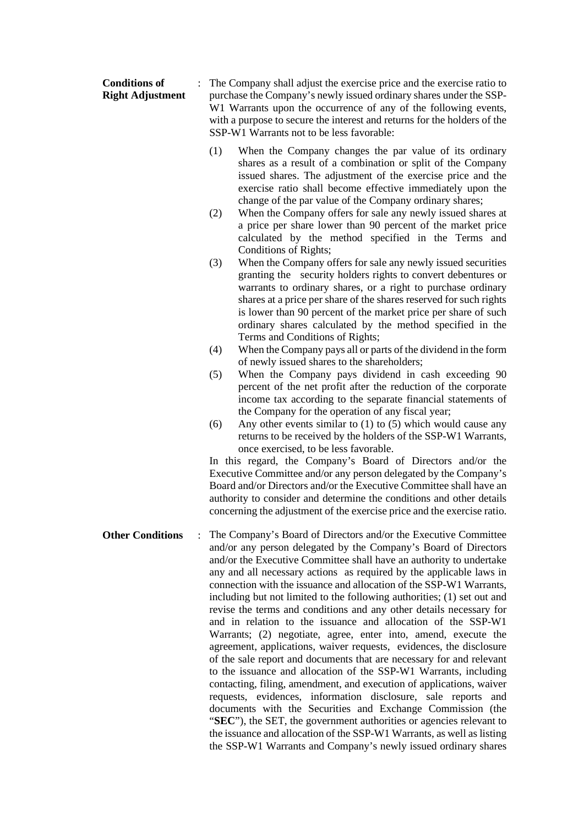| <b>Conditions of</b><br><b>Right Adjustment</b> | The Company shall adjust the exercise price and the exercise ratio to<br>purchase the Company's newly issued ordinary shares under the SSP-<br>W1 Warrants upon the occurrence of any of the following events,<br>with a purpose to secure the interest and returns for the holders of the<br>SSP-W1 Warrants not to be less favorable:                                                                                                                                                                                                                                                                                                                                                                                                                                                                                                                                                                                                                                                                                                                                                                                                                                                                                   |
|-------------------------------------------------|---------------------------------------------------------------------------------------------------------------------------------------------------------------------------------------------------------------------------------------------------------------------------------------------------------------------------------------------------------------------------------------------------------------------------------------------------------------------------------------------------------------------------------------------------------------------------------------------------------------------------------------------------------------------------------------------------------------------------------------------------------------------------------------------------------------------------------------------------------------------------------------------------------------------------------------------------------------------------------------------------------------------------------------------------------------------------------------------------------------------------------------------------------------------------------------------------------------------------|
|                                                 | (1)<br>When the Company changes the par value of its ordinary<br>shares as a result of a combination or split of the Company<br>issued shares. The adjustment of the exercise price and the<br>exercise ratio shall become effective immediately upon the<br>change of the par value of the Company ordinary shares;                                                                                                                                                                                                                                                                                                                                                                                                                                                                                                                                                                                                                                                                                                                                                                                                                                                                                                      |
|                                                 | When the Company offers for sale any newly issued shares at<br>(2)<br>a price per share lower than 90 percent of the market price<br>calculated by the method specified in the Terms and<br>Conditions of Rights;                                                                                                                                                                                                                                                                                                                                                                                                                                                                                                                                                                                                                                                                                                                                                                                                                                                                                                                                                                                                         |
|                                                 | When the Company offers for sale any newly issued securities<br>(3)<br>granting the security holders rights to convert debentures or<br>warrants to ordinary shares, or a right to purchase ordinary<br>shares at a price per share of the shares reserved for such rights<br>is lower than 90 percent of the market price per share of such<br>ordinary shares calculated by the method specified in the<br>Terms and Conditions of Rights;                                                                                                                                                                                                                                                                                                                                                                                                                                                                                                                                                                                                                                                                                                                                                                              |
|                                                 | When the Company pays all or parts of the dividend in the form<br>(4)                                                                                                                                                                                                                                                                                                                                                                                                                                                                                                                                                                                                                                                                                                                                                                                                                                                                                                                                                                                                                                                                                                                                                     |
|                                                 | of newly issued shares to the shareholders;<br>When the Company pays dividend in cash exceeding 90<br>(5)<br>percent of the net profit after the reduction of the corporate<br>income tax according to the separate financial statements of<br>the Company for the operation of any fiscal year;<br>(6)<br>Any other events similar to $(1)$ to $(5)$ which would cause any<br>returns to be received by the holders of the SSP-W1 Warrants,<br>once exercised, to be less favorable.<br>In this regard, the Company's Board of Directors and/or the<br>Executive Committee and/or any person delegated by the Company's<br>Board and/or Directors and/or the Executive Committee shall have an<br>authority to consider and determine the conditions and other details<br>concerning the adjustment of the exercise price and the exercise ratio.                                                                                                                                                                                                                                                                                                                                                                        |
| <b>Other Conditions</b>                         | The Company's Board of Directors and/or the Executive Committee<br>and/or any person delegated by the Company's Board of Directors<br>and/or the Executive Committee shall have an authority to undertake<br>any and all necessary actions as required by the applicable laws in<br>connection with the issuance and allocation of the SSP-W1 Warrants,<br>including but not limited to the following authorities; (1) set out and<br>revise the terms and conditions and any other details necessary for<br>and in relation to the issuance and allocation of the SSP-W1<br>Warrants; (2) negotiate, agree, enter into, amend, execute the<br>agreement, applications, waiver requests, evidences, the disclosure<br>of the sale report and documents that are necessary for and relevant<br>to the issuance and allocation of the SSP-W1 Warrants, including<br>contacting, filing, amendment, and execution of applications, waiver<br>requests, evidences, information disclosure, sale reports<br>and<br>documents with the Securities and Exchange Commission (the<br>"SEC"), the SET, the government authorities or agencies relevant to<br>the issuance and allocation of the SSP-W1 Warrants, as well as listing |

the SSP-W1 Warrants and Company's newly issued ordinary shares